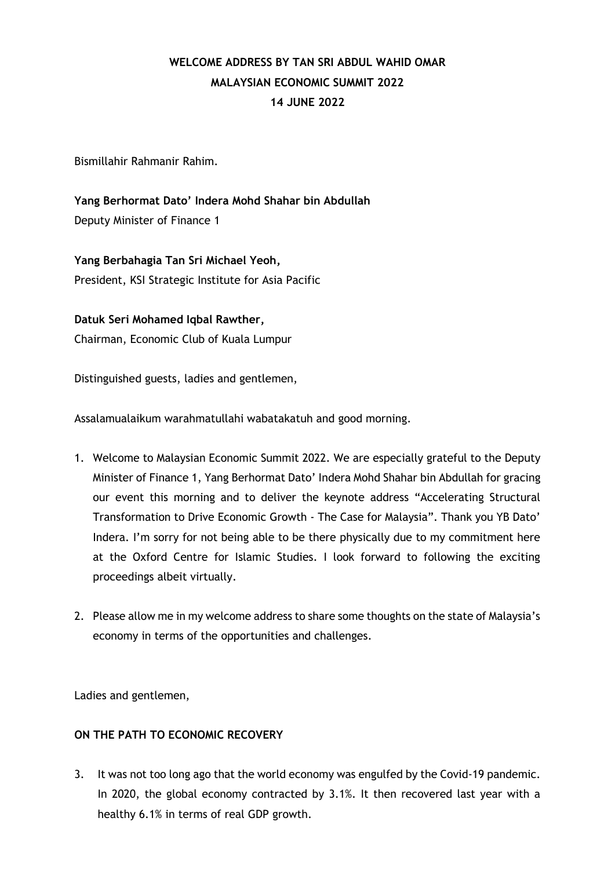## **WELCOME ADDRESS BY TAN SRI ABDUL WAHID OMAR MALAYSIAN ECONOMIC SUMMIT 2022 14 JUNE 2022**

Bismillahir Rahmanir Rahim.

**Yang Berhormat Dato' Indera Mohd Shahar bin Abdullah** Deputy Minister of Finance 1

**Yang Berbahagia Tan Sri Michael Yeoh,** President, KSI Strategic Institute for Asia Pacific

**Datuk Seri Mohamed Iqbal Rawther,** Chairman, Economic Club of Kuala Lumpur

Distinguished guests, ladies and gentlemen,

Assalamualaikum warahmatullahi wabatakatuh and good morning.

- 1. Welcome to Malaysian Economic Summit 2022. We are especially grateful to the Deputy Minister of Finance 1, Yang Berhormat Dato' Indera Mohd Shahar bin Abdullah for gracing our event this morning and to deliver the keynote address "Accelerating Structural Transformation to Drive Economic Growth - The Case for Malaysia". Thank you YB Dato' Indera. I'm sorry for not being able to be there physically due to my commitment here at the Oxford Centre for Islamic Studies. I look forward to following the exciting proceedings albeit virtually.
- 2. Please allow me in my welcome address to share some thoughts on the state of Malaysia's economy in terms of the opportunities and challenges.

Ladies and gentlemen,

## **ON THE PATH TO ECONOMIC RECOVERY**

3. It was not too long ago that the world economy was engulfed by the Covid-19 pandemic. In 2020, the global economy contracted by 3.1%. It then recovered last year with a healthy 6.1% in terms of real GDP growth.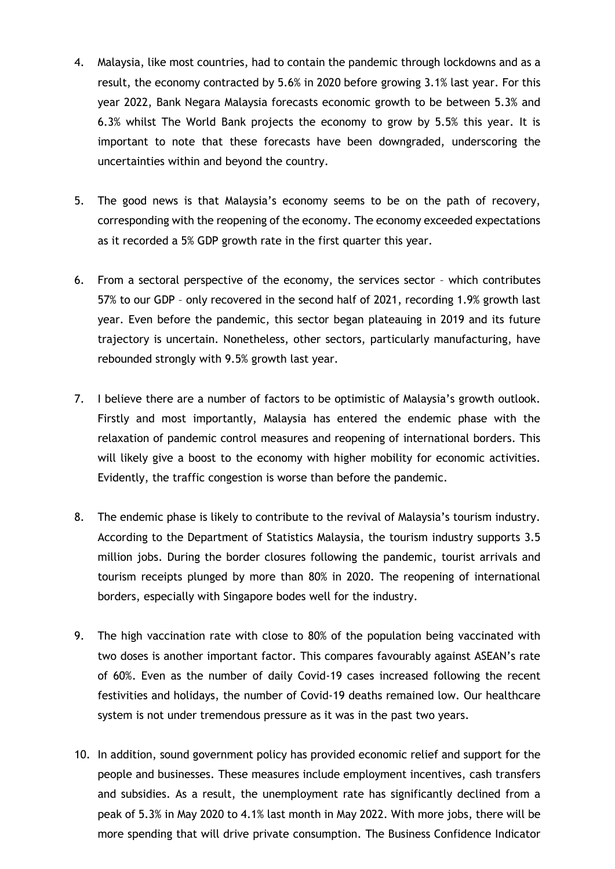- 4. Malaysia, like most countries, had to contain the pandemic through lockdowns and as a result, the economy contracted by 5.6% in 2020 before growing 3.1% last year. For this year 2022, Bank Negara Malaysia forecasts economic growth to be between 5.3% and 6.3% whilst The World Bank projects the economy to grow by 5.5% this year. It is important to note that these forecasts have been downgraded, underscoring the uncertainties within and beyond the country.
- 5. The good news is that Malaysia's economy seems to be on the path of recovery, corresponding with the reopening of the economy. The economy exceeded expectations as it recorded a 5% GDP growth rate in the first quarter this year.
- 6. From a sectoral perspective of the economy, the services sector which contributes 57% to our GDP – only recovered in the second half of 2021, recording 1.9% growth last year. Even before the pandemic, this sector began plateauing in 2019 and its future trajectory is uncertain. Nonetheless, other sectors, particularly manufacturing, have rebounded strongly with 9.5% growth last year.
- 7. I believe there are a number of factors to be optimistic of Malaysia's growth outlook. Firstly and most importantly, Malaysia has entered the endemic phase with the relaxation of pandemic control measures and reopening of international borders. This will likely give a boost to the economy with higher mobility for economic activities. Evidently, the traffic congestion is worse than before the pandemic.
- 8. The endemic phase is likely to contribute to the revival of Malaysia's tourism industry. According to the Department of Statistics Malaysia, the tourism industry supports 3.5 million jobs. During the border closures following the pandemic, tourist arrivals and tourism receipts plunged by more than 80% in 2020. The reopening of international borders, especially with Singapore bodes well for the industry.
- 9. The high vaccination rate with close to 80% of the population being vaccinated with two doses is another important factor. This compares favourably against ASEAN's rate of 60%. Even as the number of daily Covid-19 cases increased following the recent festivities and holidays, the number of Covid-19 deaths remained low. Our healthcare system is not under tremendous pressure as it was in the past two years.
- 10. In addition, sound government policy has provided economic relief and support for the people and businesses. These measures include employment incentives, cash transfers and subsidies. As a result, the unemployment rate has significantly declined from a peak of 5.3% in May 2020 to 4.1% last month in May 2022. With more jobs, there will be more spending that will drive private consumption. The Business Confidence Indicator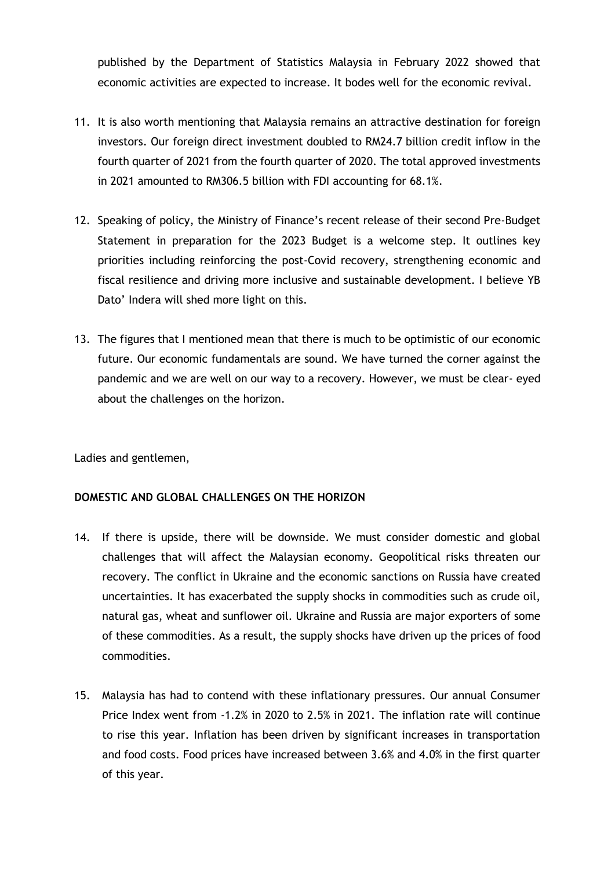published by the Department of Statistics Malaysia in February 2022 showed that economic activities are expected to increase. It bodes well for the economic revival.

- 11. It is also worth mentioning that Malaysia remains an attractive destination for foreign investors. Our foreign direct investment doubled to RM24.7 billion credit inflow in the fourth quarter of 2021 from the fourth quarter of 2020. The total approved investments in 2021 amounted to RM306.5 billion with FDI accounting for 68.1%.
- 12. Speaking of policy, the Ministry of Finance's recent release of their second Pre-Budget Statement in preparation for the 2023 Budget is a welcome step. It outlines key priorities including reinforcing the post-Covid recovery, strengthening economic and fiscal resilience and driving more inclusive and sustainable development. I believe YB Dato' Indera will shed more light on this.
- 13. The figures that I mentioned mean that there is much to be optimistic of our economic future. Our economic fundamentals are sound. We have turned the corner against the pandemic and we are well on our way to a recovery. However, we must be clear- eyed about the challenges on the horizon.

Ladies and gentlemen,

## **DOMESTIC AND GLOBAL CHALLENGES ON THE HORIZON**

- 14. If there is upside, there will be downside. We must consider domestic and global challenges that will affect the Malaysian economy. Geopolitical risks threaten our recovery. The conflict in Ukraine and the economic sanctions on Russia have created uncertainties. It has exacerbated the supply shocks in commodities such as crude oil, natural gas, wheat and sunflower oil. Ukraine and Russia are major exporters of some of these commodities. As a result, the supply shocks have driven up the prices of food commodities.
- 15. Malaysia has had to contend with these inflationary pressures. Our annual Consumer Price Index went from -1.2% in 2020 to 2.5% in 2021. The inflation rate will continue to rise this year. Inflation has been driven by significant increases in transportation and food costs. Food prices have increased between 3.6% and 4.0% in the first quarter of this year.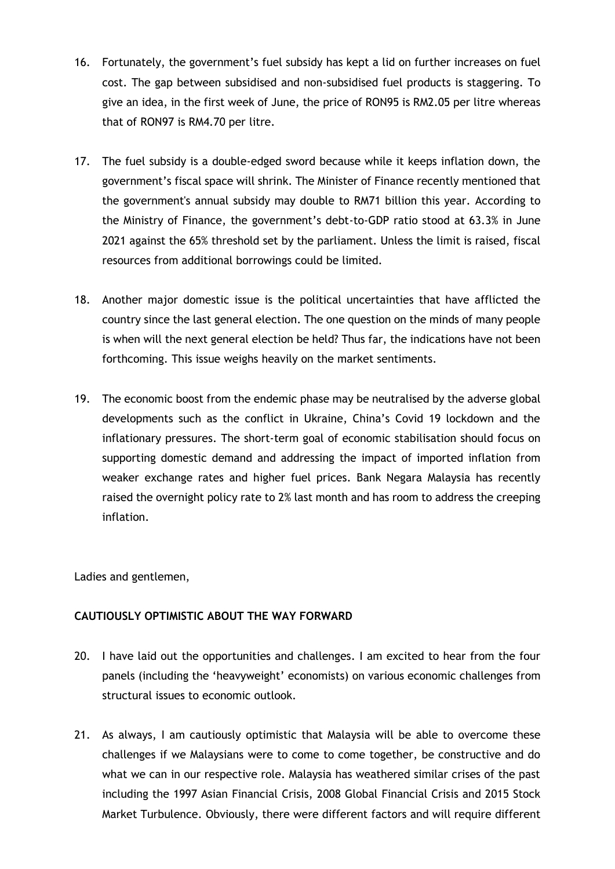- 16. Fortunately, the government's fuel subsidy has kept a lid on further increases on fuel cost. The gap between subsidised and non-subsidised fuel products is staggering. To give an idea, in the first week of June, the price of RON95 is RM2.05 per litre whereas that of RON97 is RM4.70 per litre.
- 17. The fuel subsidy is a double-edged sword because while it keeps inflation down, the government's fiscal space will shrink. The Minister of Finance recently mentioned that the government's annual subsidy may double to RM71 billion this year. According to the Ministry of Finance, the government's debt-to-GDP ratio stood at 63.3% in June 2021 against the 65% threshold set by the parliament. Unless the limit is raised, fiscal resources from additional borrowings could be limited.
- 18. Another major domestic issue is the political uncertainties that have afflicted the country since the last general election. The one question on the minds of many people is when will the next general election be held? Thus far, the indications have not been forthcoming. This issue weighs heavily on the market sentiments.
- 19. The economic boost from the endemic phase may be neutralised by the adverse global developments such as the conflict in Ukraine, China's Covid 19 lockdown and the inflationary pressures. The short-term goal of economic stabilisation should focus on supporting domestic demand and addressing the impact of imported inflation from weaker exchange rates and higher fuel prices. Bank Negara Malaysia has recently raised the overnight policy rate to 2% last month and has room to address the creeping inflation.

Ladies and gentlemen,

## **CAUTIOUSLY OPTIMISTIC ABOUT THE WAY FORWARD**

- 20. I have laid out the opportunities and challenges. I am excited to hear from the four panels (including the 'heavyweight' economists) on various economic challenges from structural issues to economic outlook.
- 21. As always, I am cautiously optimistic that Malaysia will be able to overcome these challenges if we Malaysians were to come to come together, be constructive and do what we can in our respective role. Malaysia has weathered similar crises of the past including the 1997 Asian Financial Crisis, 2008 Global Financial Crisis and 2015 Stock Market Turbulence. Obviously, there were different factors and will require different